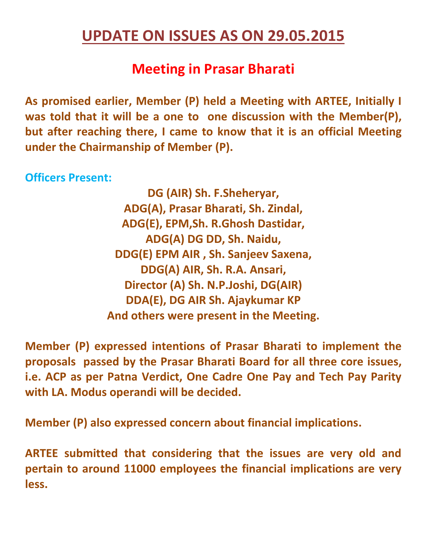## **UPDATE ON ISSUES AS ON 29.05.2015**

## **Meeting in Prasar Bharati**

**As promised earlier, Member (P) held a Meeting with ARTEE, Initially I was told that it will be a one to one discussion with the Member(P), but after reaching there, I came to know that it is an official Meeting under the Chairmanship of Member (P).** 

**Officers Present:** 

**DG (AIR) Sh. F.Sheheryar, ADG(A), Prasar Bharati, Sh. Zindal, ADG(E), EPM,Sh. R.Ghosh Dastidar, ADG(A) DG DD, Sh. Naidu, DDG(E) EPM AIR , Sh. Sanjeev Saxena, DDG(A) AIR, Sh. R.A. Ansari, Director (A) Sh. N.P.Joshi, DG(AIR) DDA(E), DG AIR Sh. Ajaykumar KP And others were present in the Meeting.** 

**Member (P) expressed intentions of Prasar Bharati to implement the proposals passed by the Prasar Bharati Board for all three core issues, i.e. ACP as per Patna Verdict, One Cadre One Pay and Tech Pay Parity with LA. Modus operandi will be decided.** 

**Member (P) also expressed concern about financial implications.** 

**ARTEE submitted that considering that the issues are very old and pertain to around 11000 employees the financial implications are very less.**